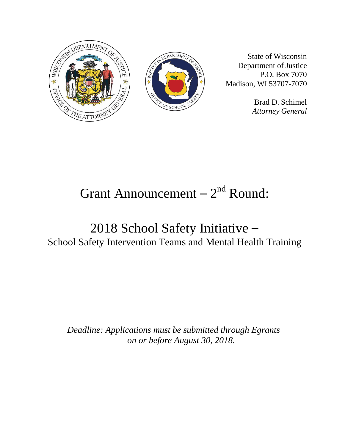

State of Wisconsin Department of Justice P.O. Box 7070 Madison, WI 53707-7070

> Brad D. Schimel *Attorney General*

# Grant Announcement  $-2<sup>nd</sup>$  Round:

## 2018 School Safety Initiative – School Safety Intervention Teams and Mental Health Training

*Deadline: Applications must be submitted through Egrants on or before August 30, 2018.*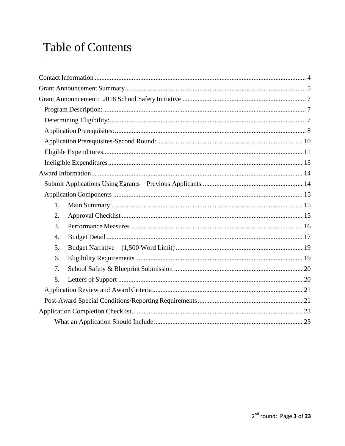## **Table of Contents**

| 1. |  |  |  |
|----|--|--|--|
| 2. |  |  |  |
| 3. |  |  |  |
| 4. |  |  |  |
| 5. |  |  |  |
| 6. |  |  |  |
| 7. |  |  |  |
| 8. |  |  |  |
|    |  |  |  |
|    |  |  |  |
|    |  |  |  |
|    |  |  |  |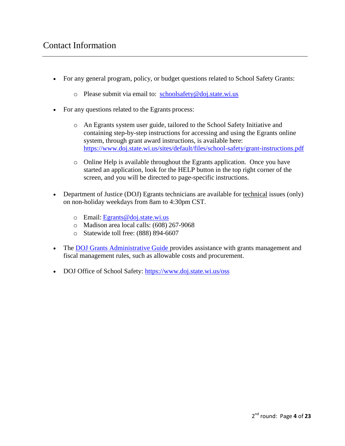- <span id="page-3-0"></span> For any general program, policy, or budget questions related to School Safety Grants:
	- o Please submit via email to: [schoolsafety@doj.state.wi.us](mailto:schoolsafety@doj.state.wi.us)
- For any questions related to the Egrants process:
	- o An Egrants system user guide, tailored to the School Safety Initiative and containing step-by-step instructions for accessing and using the Egrants online system, through grant award instructions, is available here: <https://www.doj.state.wi.us/sites/default/files/school-safety/grant-instructions.pdf>
	- $\circ$  Online Help is available throughout the Egrants application. Once you have started an application, look for the HELP button in the top right corner of the screen, and you will be directed to page-specific instructions.
- Department of Justice (DOJ) Egrants technicians are available for technical issues (only) on non-holiday weekdays from 8am to 4:30pm CST.
	- o Email: [Egrants@doj.state.wi.us](mailto:Egrants@doj.state.wi.us)
	- o Madison area local calls: (608) 267-9068
	- o Statewide toll free: (888) 894-6607
- The [DOJ Grants Administrative Guide p](https://www.doj.state.wi.us/sites/default/files/External%20Admin%20Guide%20-%202018.pdf)rovides assistance with grants management and fiscal management rules, such as allowable costs and procurement.
- DOJ Office of School Safety:<https://www.doj.state.wi.us/oss>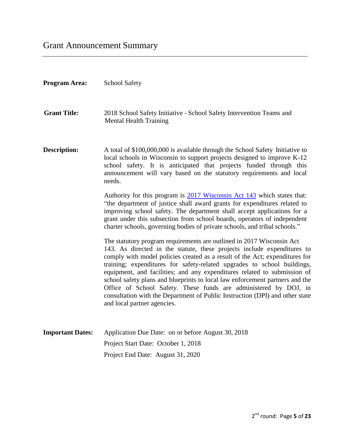<span id="page-4-0"></span>

| <b>Program Area:</b>    | <b>School Safety</b>                                                                                                                                                                                                                                                                                                                                                                                                                                                                                                                                                                                                                                      |
|-------------------------|-----------------------------------------------------------------------------------------------------------------------------------------------------------------------------------------------------------------------------------------------------------------------------------------------------------------------------------------------------------------------------------------------------------------------------------------------------------------------------------------------------------------------------------------------------------------------------------------------------------------------------------------------------------|
| <b>Grant Title:</b>     | 2018 School Safety Initiative - School Safety Intervention Teams and<br><b>Mental Health Training</b>                                                                                                                                                                                                                                                                                                                                                                                                                                                                                                                                                     |
| <b>Description:</b>     | A total of \$100,000,000 is available through the School Safety Initiative to<br>local schools in Wisconsin to support projects designed to improve K-12<br>school safety. It is anticipated that projects funded through this<br>announcement will vary based on the statutory requirements and local<br>needs.                                                                                                                                                                                                                                                                                                                                          |
|                         | Authority for this program is 2017 Wisconsin Act 143 which states that:<br>"the department of justice shall award grants for expenditures related to<br>improving school safety. The department shall accept applications for a<br>grant under this subsection from school boards, operators of independent<br>charter schools, governing bodies of private schools, and tribal schools."                                                                                                                                                                                                                                                                 |
|                         | The statutory program requirements are outlined in 2017 Wisconsin Act<br>143. As directed in the statute, these projects include expenditures to<br>comply with model policies created as a result of the Act; expenditures for<br>training; expenditures for safety-related upgrades to school buildings,<br>equipment, and facilities; and any expenditures related to submission of<br>school safety plans and blueprints to local law enforcement partners and the<br>Office of School Safety. These funds are administered by DOJ, in<br>consultation with the Department of Public Instruction (DPI) and other state<br>and local partner agencies. |
| <b>Important Dates:</b> | Application Due Date: on or before August 30, 2018                                                                                                                                                                                                                                                                                                                                                                                                                                                                                                                                                                                                        |
|                         | Project Start Date: October 1, 2018                                                                                                                                                                                                                                                                                                                                                                                                                                                                                                                                                                                                                       |
|                         | Project End Date: August 31, 2020                                                                                                                                                                                                                                                                                                                                                                                                                                                                                                                                                                                                                         |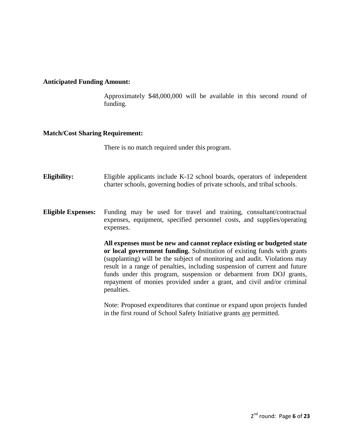#### **Anticipated Funding Amount:**

Approximately \$48,000,000 will be available in this second round of funding.

#### **Match/Cost Sharing Requirement:**

There is no match required under this program.

- **Eligibility:** Eligible applicants include K-12 school boards, operators of independent charter schools, governing bodies of private schools, and tribal schools.
- **Eligible Expenses:** Funding may be used for travel and training, consultant/contractual expenses, equipment, specified personnel costs, and supplies/operating expenses.

**All expenses must be new and cannot replace existing or budgeted state or local government funding.** Substitution of existing funds with grants (supplanting) will be the subject of monitoring and audit. Violations may result in a range of penalties, including suspension of current and future funds under this program, suspension or debarment from DOJ grants, repayment of monies provided under a grant, and civil and/or criminal penalties.

Note: Proposed expenditures that continue or expand upon projects funded in the first round of School Safety Initiative grants are permitted.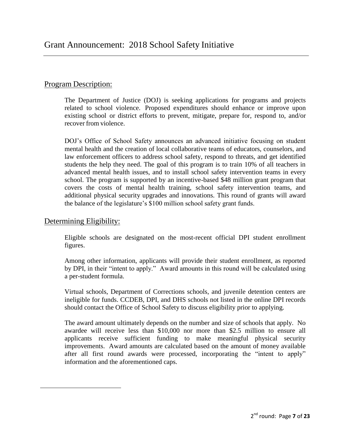## <span id="page-6-1"></span><span id="page-6-0"></span>Program Description:

The Department of Justice (DOJ) is seeking applications for programs and projects related to school violence. Proposed expenditures should enhance or improve upon existing school or district efforts to prevent, mitigate, prepare for, respond to, and/or recover from violence.

DOJ's Office of School Safety announces an advanced initiative focusing on student mental health and the creation of local collaborative teams of educators, counselors, and law enforcement officers to address school safety, respond to threats, and get identified students the help they need. The goal of this program is to train 10% of all teachers in advanced mental health issues, and to install school safety intervention teams in every school. The program is supported by an incentive-based \$48 million grant program that covers the costs of mental health training, school safety intervention teams, and additional physical security upgrades and innovations. This round of grants will award the balance of the legislature's \$100 million school safety grant funds.

## <span id="page-6-2"></span>Determining Eligibility:

Eligible schools are designated on the most-recent official DPI student enrollment figures.

Among other information, applicants will provide their student enrollment, as reported by DPI, in their "intent to apply." Award amounts in this round will be calculated using a per-student formula.

Virtual schools, Department of Corrections schools, and juvenile detention centers are ineligible for funds. CCDEB, DPI, and DHS schools not listed in the online DPI records should contact the Office of School Safety to discuss eligibility prior to applying.

The award amount ultimately depends on the number and size of schools that apply. No awardee will receive less than \$10,000 nor more than \$2.5 million to ensure all applicants receive sufficient funding to make meaningful physical security improvements. Award amounts are calculated based on the amount of money available after all first round awards were processed, incorporating the "intent to apply" information and the aforementioned caps.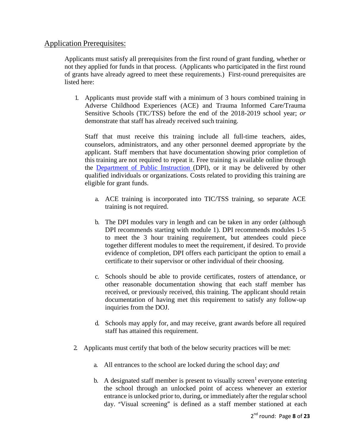## <span id="page-7-0"></span>Application Prerequisites:

Applicants must satisfy all prerequisites from the first round of grant funding, whether or not they applied for funds in that process. (Applicants who participated in the first round of grants have already agreed to meet these requirements.) First-round prerequisites are listed here:

1. Applicants must provide staff with a minimum of 3 hours combined training in Adverse Childhood Experiences (ACE) and Trauma Informed Care/Trauma Sensitive Schools (TIC/TSS) before the end of the 2018-2019 school year; *or*  demonstrate that staff has already received such training.

Staff that must receive this training include all full-time teachers, aides, counselors, administrators, and any other personnel deemed appropriate by the applicant. Staff members that have documentation showing prior completion of this training are not required to repeat it. Free training is available online through the [Department of Public Instruction \(](https://dpi.wi.gov/sspw/mental-health/trauma/)DPI), or it may be delivered by other qualified individuals or organizations. Costs related to providing this training are eligible for grant funds.

- a. ACE training is incorporated into TIC/TSS training, so separate ACE training is not required.
- b. The DPI modules vary in length and can be taken in any order (although DPI recommends starting with module 1). DPI recommends modules 1-5 to meet the 3 hour training requirement, but attendees could piece together different modules to meet the requirement, if desired. To provide evidence of completion, DPI offers each participant the option to email a certificate to their supervisor or other individual of their choosing.
- c. Schools should be able to provide certificates, rosters of attendance, or other reasonable documentation showing that each staff member has received, or previously received, this training. The applicant should retain documentation of having met this requirement to satisfy any follow-up inquiries from the DOJ.
- d. Schools may apply for, and may receive, grant awards before all required staff has attained this requirement.
- 2. Applicants must certify that both of the below security practices will be met:
	- a. All entrances to the school are locked during the school day; *and*
	- b. A designated staff member is present to visually screen<sup>1</sup> everyone entering the school through an unlocked point of access whenever an exterior entrance is unlocked prior to, during, or immediately after the regular school day. "Visual screening" is defined as a staff member stationed at each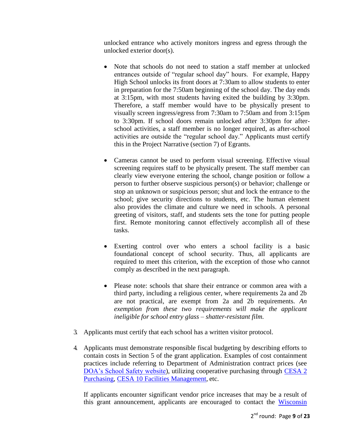unlocked entrance who actively monitors ingress and egress through the unlocked exterior door(s).

- Note that schools do not need to station a staff member at unlocked entrances outside of "regular school day" hours. For example, Happy High School unlocks its front doors at 7:30am to allow students to enter in preparation for the 7:50am beginning of the school day. The day ends at 3:15pm, with most students having exited the building by 3:30pm. Therefore, a staff member would have to be physically present to visually screen ingress/egress from 7:30am to 7:50am and from 3:15pm to 3:30pm. If school doors remain unlocked after 3:30pm for afterschool activities, a staff member is no longer required, as after-school activities are outside the "regular school day." Applicants must certify this in the Project Narrative (section 7) of Egrants.
- Cameras cannot be used to perform visual screening. Effective visual screening requires staff to be physically present. The staff member can clearly view everyone entering the school, change position or follow a person to further observe suspicious person(s) or behavior; challenge or stop an unknown or suspicious person; shut and lock the entrance to the school; give security directions to students, etc. The human element also provides the climate and culture we need in schools. A personal greeting of visitors, staff, and students sets the tone for putting people first. Remote monitoring cannot effectively accomplish all of these tasks.
- Exerting control over who enters a school facility is a basic foundational concept of school security. Thus, all applicants are required to meet this criterion, with the exception of those who cannot comply as described in the next paragraph.
- Please note: schools that share their entrance or common area with a third party, including a religious center, where requirements 2a and 2b are not practical, are exempt from 2a and 2b requirements. *An exemption from these two requirements will make the applicant ineligible for school entry glass – shatter-resistant film.*
- 3. Applicants must certify that each school has a written visitor protocol.
- 4. Applicants must demonstrate responsible fiscal budgeting by describing efforts to contain costs in Section 5 of the grant application. Examples of cost containment practices include referring to Department of Administration contract prices (see [DOA's School Safety website\)](https://doa.wi.gov/Pages/DoingBusiness/SchoolSafety-Contracts.aspx), utilizing cooperative purchasing through CESA 2 [Purchasing,](http://www.cesapurchasing.org/) [CESA 10 Facilities Management,](http://facilities.cesa10.org/) etc.

If applicants encounter significant vendor price increases that may be a result of this grant announcement, applicants are encouraged to contact the [Wisconsin](https://www.doj.state.wi.us/dls/consumer-protection)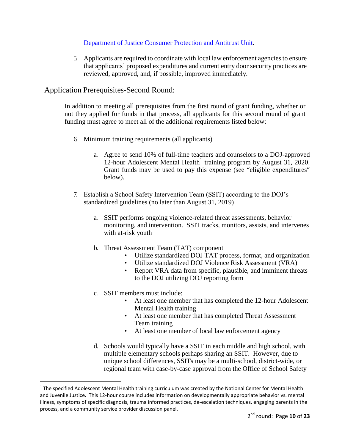## [Department of Justice Consumer Protection and Antitrust](https://www.doj.state.wi.us/dls/consumer-protection) Unit.

5. Applicants are required to coordinate with local law enforcement agenciesto ensure that applicants' proposed expenditures and current entry door security practices are reviewed, approved, and, if possible, improved immediately.

## <span id="page-9-0"></span>Application Prerequisites-Second Round:

In addition to meeting all prerequisites from the first round of grant funding, whether or not they applied for funds in that process, all applicants for this second round of grant funding must agree to meet all of the additional requirements listed below:

- 6. Minimum training requirements (all applicants)
	- a. Agree to send 10% of full-time teachers and counselors to a DOJ-approved 12-hour Adolescent Mental Health<sup>1</sup> training program by August  $31, 2020$ . Grant funds may be used to pay this expense (see "eligible expenditures" below).
- 7. Establish a School Safety Intervention Team (SSIT) according to the DOJ's standardized guidelines (no later than August 31, 2019)
	- a. SSIT performs ongoing violence-related threat assessments, behavior monitoring, and intervention. SSIT tracks, monitors, assists, and intervenes with at-risk youth
	- b. Threat Assessment Team (TAT) component
		- Utilize standardized DOJ TAT process, format, and organization
		- Utilize standardized DOJ Violence Risk Assessment (VRA)
		- Report VRA data from specific, plausible, and imminent threats to the DOJ utilizing DOJ reporting form
	- c. SSIT members must include:

 $\overline{a}$ 

- At least one member that has completed the 12-hour Adolescent Mental Health training
- At least one member that has completed Threat Assessment Team training
- At least one member of local law enforcement agency
- d. Schools would typically have a SSIT in each middle and high school, with multiple elementary schools perhaps sharing an SSIT. However, due to unique school differences, SSITs may be a multi-school, district-wide, or regional team with case-by-case approval from the Office of School Safety

 $1$  The specified Adolescent Mental Health training curriculum was created by the National Center for Mental Health and Juvenile Justice. This 12-hour course includes information on developmentally appropriate behavior vs. mental illness, symptoms of specific diagnosis, trauma informed practices, de-escalation techniques, engaging parents in the process, and a community service provider discussion panel.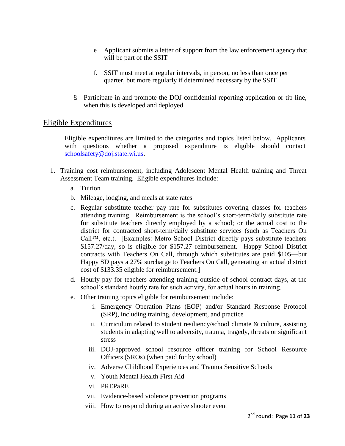- e. Applicant submits a letter of support from the law enforcement agency that will be part of the SSIT
- f. SSIT must meet at regular intervals, in person, no less than once per quarter, but more regularly if determined necessary by the SSIT
- 8. Participate in and promote the DOJ confidential reporting application or tip line, when this is developed and deployed

## <span id="page-10-0"></span>Eligible Expenditures

Eligible expenditures are limited to the categories and topics listed below. Applicants with questions whether a proposed expenditure is eligible should contact [schoolsafety@doj.state.wi.us.](mailto:schoolsafety@doj.state.wi.us)

- 1. Training cost reimbursement, including Adolescent Mental Health training and Threat Assessment Team training. Eligible expenditures include:
	- a. Tuition
	- b. Mileage, lodging, and meals at state rates
	- c. Regular substitute teacher pay rate for substitutes covering classes for teachers attending training. Reimbursement is the school's short-term/daily substitute rate for substitute teachers directly employed by a school; or the actual cost to the district for contracted short-term/daily substitute services (such as Teachers On Call™, etc.). [Examples: Metro School District directly pays substitute teachers \$157.27/day, so is eligible for \$157.27 reimbursement. Happy School District contracts with Teachers On Call, through which substitutes are paid \$105—but Happy SD pays a 27% surcharge to Teachers On Call, generating an actual district cost of \$133.35 eligible for reimbursement.]
	- d. Hourly pay for teachers attending training outside of school contract days, at the school's standard hourly rate for such activity, for actual hours in training.
	- e. Other training topics eligible for reimbursement include:
		- i. Emergency Operation Plans (EOP) and/or Standard Response Protocol (SRP), including training, development, and practice
		- ii. Curriculum related to student resiliency/school climate & culture, assisting students in adapting well to adversity, trauma, tragedy, threats or significant stress
		- iii. DOJ-approved school resource officer training for School Resource Officers (SROs) (when paid for by school)
		- iv. Adverse Childhood Experiences and Trauma Sensitive Schools
		- v. Youth Mental Health First Aid
		- vi. PREPaRE
		- vii. Evidence-based violence prevention programs
		- viii. How to respond during an active shooter event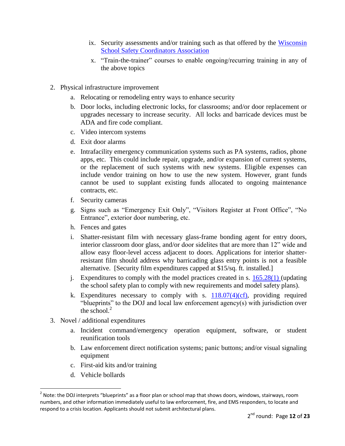- ix. Security assessments and/or training such as that offered by the [Wisconsin](http://www.wssca.org/)  [School Safety Coordinators Association](http://www.wssca.org/)
- x. "Train-the-trainer" courses to enable ongoing/recurring training in any of the above topics
- 2. Physical infrastructure improvement
	- a. Relocating or remodeling entry ways to enhance security
	- b. Door locks, including electronic locks, for classrooms; and/or door replacement or upgrades necessary to increase security. All locks and barricade devices must be ADA and fire code compliant.
	- c. Video intercom systems
	- d. Exit door alarms
	- e. Intrafacility emergency communication systems such as PA systems, radios, phone apps, etc. This could include repair, upgrade, and/or expansion of current systems, or the replacement of such systems with new systems. Eligible expenses can include vendor training on how to use the new system. However, grant funds cannot be used to supplant existing funds allocated to ongoing maintenance contracts, etc.
	- f. Security cameras
	- g. Signs such as "Emergency Exit Only", "Visitors Register at Front Office", "No Entrance", exterior door numbering, etc.
	- h. Fences and gates
	- i. Shatter-resistant film with necessary glass-frame bonding agent for entry doors, interior classroom door glass, and/or door sidelites that are more than 12" wide and allow easy floor-level access adjacent to doors. Applications for interior shatterresistant film should address why barricading glass entry points is not a feasible alternative. [Security film expenditures capped at \$15/sq. ft. installed.]
	- j. Expenditures to comply with the model practices created in s. [165.28\(1\) \(](http://docs.legis.wisconsin.gov/document/statutes/165.28(1))updating the school safety plan to comply with new requirements and model safety plans).
	- k. Expenditures necessary to comply with s.  $118.07(4)(cf)$ , providing required "blueprints" to the DOJ and local law enforcement agency(s) with jurisdiction over the school. $<sup>2</sup>$ </sup>
- 3. Novel / additional expenditures
	- a. Incident command/emergency operation equipment, software, or student reunification tools
	- b. Law enforcement direct notification systems; panic buttons; and/or visual signaling equipment
	- c. First-aid kits and/or training
	- d. Vehicle bollards

 $\overline{a}$ 

 $2$  Note: the DOJ interprets "blueprints" as a floor plan or school map that shows doors, windows, stairways, room numbers, and other information immediately useful to law enforcement, fire, and EMS responders, to locate and respond to a crisis location. Applicants should not submit architectural plans.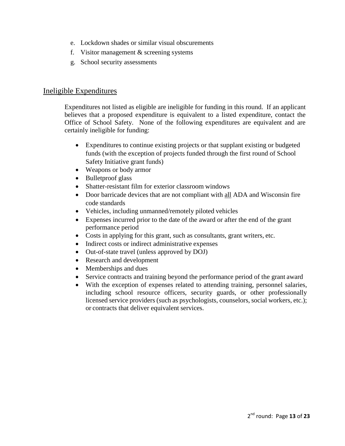- e. Lockdown shades or similar visual obscurements
- f. Visitor management & screening systems
- g. School security assessments

## <span id="page-12-0"></span>Ineligible Expenditures

Expenditures not listed as eligible are ineligible for funding in this round. If an applicant believes that a proposed expenditure is equivalent to a listed expenditure, contact the Office of School Safety. None of the following expenditures are equivalent and are certainly ineligible for funding:

- Expenditures to continue existing projects or that supplant existing or budgeted funds (with the exception of projects funded through the first round of School Safety Initiative grant funds)
- Weapons or body armor
- Bulletproof glass
- Shatter-resistant film for exterior classroom windows
- Door barricade devices that are not compliant with all ADA and Wisconsin fire code standards
- Vehicles, including unmanned/remotely piloted vehicles
- Expenses incurred prior to the date of the award or after the end of the grant performance period
- Costs in applying for this grant, such as consultants, grant writers, etc.
- Indirect costs or indirect administrative expenses
- Out-of-state travel (unless approved by DOJ)
- Research and development
- Memberships and dues
- Service contracts and training beyond the performance period of the grant award
- With the exception of expenses related to attending training, personnel salaries, including school resource officers, security guards, or other professionally licensed service providers (such as psychologists, counselors, social workers, etc.); or contracts that deliver equivalent services.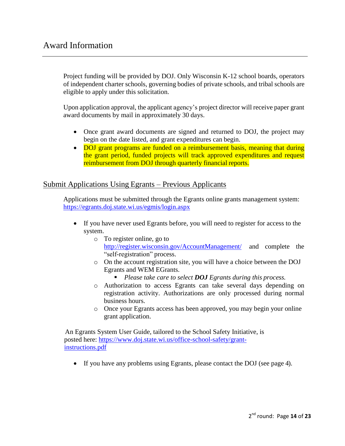## <span id="page-13-0"></span>Award Information

Project funding will be provided by DOJ. Only Wisconsin K-12 school boards, operators of independent charter schools, governing bodies of private schools, and tribal schools are eligible to apply under this solicitation.

Upon application approval, the applicant agency's project director will receive paper grant award documents by mail in approximately 30 days.

- Once grant award documents are signed and returned to DOJ, the project may begin on the date listed, and grant expenditures can begin.
- DOJ grant programs are funded on a reimbursement basis, meaning that during the grant period, funded projects will track approved expenditures and request reimbursement from DOJ through quarterly financial reports.

## <span id="page-13-1"></span>Submit Applications Using Egrants – Previous Applicants

Applications must be submitted through the Egrants online grants management system: <https://egrants.doj.state.wi.us/egmis/login.aspx>

- If you have never used Egrants before, you will need to register for access to the system.
	- o To register online, go to <http://register.wisconsin.gov/AccountManagement/> and complete the "self-registration" process.
	- o On the account registration site, you will have a choice between the DOJ Egrants and WEM EGrants.
		- *Please take care to select DOJ Egrants during this process.*
	- o Authorization to access Egrants can take several days depending on registration activity. Authorizations are only processed during normal business hours.
	- o Once your Egrants access has been approved, you may begin your online grant application.

An Egrants System User Guide, tailored to the School Safety Initiative, is posted here: [https://www.doj.state.wi.us/office-school-safety/grant](https://www.doj.state.wi.us/office-school-safety/grant-instructions.pdf)[instructions.pdf](https://www.doj.state.wi.us/office-school-safety/grant-instructions.pdf)

If you have any problems using Egrants, please contact the DOJ (see page 4).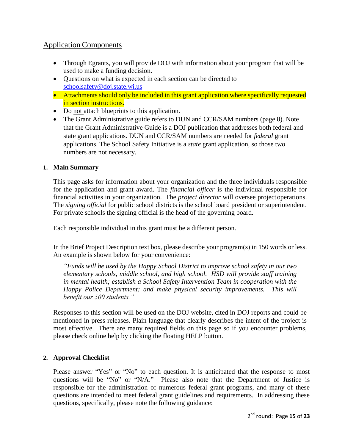## <span id="page-14-0"></span>Application Components

- Through Egrants, you will provide DOJ with information about your program that will be used to make a funding decision.
- Questions on what is expected in each section can be directed to [schoolsafety@doj.state.wi.us](mailto:schoolsafety@doj.state.wi.us)
- Attachments should only be included in this grant application where specifically requested in section instructions.
- Do not attach blueprints to this application.
- The Grant Administrative guide refers to DUN and CCR/SAM numbers [\(page 8\).](https://www.doj.state.wi.us/sites/default/files/External%20Admin%20Guide%20-%202018.pdf) Note that the Grant Administrative Guide is a DOJ publication that addresses both federal and state grant applications. DUN and CCR/SAM numbers are needed for *federal* grant applications. The School Safety Initiative is a *state* grant application, so those two numbers are not necessary.

## <span id="page-14-1"></span>**1. Main Summary**

This page asks for information about your organization and the three individuals responsible for the application and grant award. The *financial officer* is the individual responsible for financial activities in your organization. The *project director* will oversee projectoperations. The *signing official* for public school districts is the school board president or superintendent. For private schools the signing official is the head of the governing board.

Each responsible individual in this grant must be a different person.

In the Brief Project Description text box, please describe your program(s) in 150 words or less. An example is shown below for your convenience:

*"Funds will be used by the Happy School District to improve school safety in our two elementary schools, middle school, and high school. HSD will provide staff training in mental health; establish a School Safety Intervention Team in cooperation with the Happy Police Department; and make physical security improvements. This will benefit our 500 students."*

Responses to this section will be used on the DOJ website, cited in DOJ reports and could be mentioned in press releases. Plain language that clearly describes the intent of the project is most effective. There are many required fields on this page so if you encounter problems, please check online help by clicking the floating HELP button.

## <span id="page-14-2"></span>**2. Approval Checklist**

Please answer "Yes" or "No" to each question. It is anticipated that the response to most questions will be "No" or "N/A." Please also note that the Department of Justice is responsible for the administration of numerous federal grant programs, and many of these questions are intended to meet federal grant guidelines and requirements. In addressing these questions, specifically, please note the following guidance: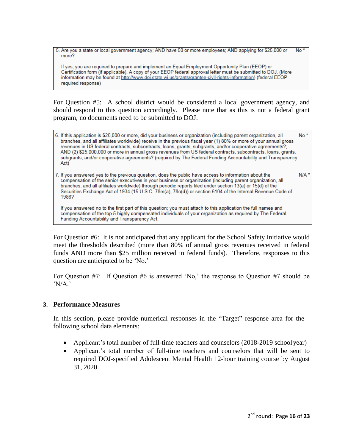5. Are you a state or local government agency; AND have 50 or more employees; AND applying for \$25,000 or No<sup>\*</sup> more?

If yes, you are required to prepare and implement an Equal Employment Opportunity Plan (EEOP) or Certification form (if applicable). A copy of your EEOP federal approval letter must be submitted to DOJ. (More information may be found at http://www.doj.state.wi.us/grants/grantee-civil-rights-information) (federal EEOP required response)

For Question #5: A school district would be considered a local government agency, and should respond to this question accordingly. Please note that as this is not a federal grant program, no documents need to be submitted to DOJ.

- No<sup>\*</sup> 6. If this application is \$25,000 or more, did your business or organization (including parent organization, all branches, and all affiliates worldwide) receive in the previous fiscal year (1) 80% or more of your annual gross revenues in US federal contracts, subcontracts, loans, grants, subgrants, and/or cooperative agreements?; AND (2) \$25,000,000 or more in annual gross revenues from US federal contracts, subcontracts, loans, grants, subgrants, and/or cooperative agreements? (required by The Federal Funding Accountability and Transparency Act)
- 7. If you answered yes to the previous question, does the public have access to information about the  $N/A$ <sup>\*</sup> compensation of the senior executives in your business or organization (including parent organization, all branches, and all affiliates worldwide) through periodic reports filed under section 13(a) or 15(d) of the Securities Exchange Act of 1934 (15 U.S.C. 78m(a), 78o(d)) or section 6104 of the Internal Revenue Code of 1986?

If you answered no to the first part of this question; you must attach to this application the full names and compensation of the top 5 highly compensated individuals of your organization as required by The Federal Funding Accountability and Transparency Act.

For Question #6: It is not anticipated that any applicant for the School Safety Initiative would meet the thresholds described (more than 80% of annual gross revenues received in federal funds AND more than \$25 million received in federal funds). Therefore, responses to this question are anticipated to be 'No.'

For Question #7: If Question #6 is answered 'No,' the response to Question #7 should be  $'NA$ .'

#### <span id="page-15-0"></span>**3. Performance Measures**

In this section, please provide numerical responses in the "Target" response area for the following school data elements:

- Applicant's total number of full-time teachers and counselors (2018-2019 schoolyear)
- Applicant's total number of full-time teachers and counselors that will be sent to required DOJ-specified Adolescent Mental Health 12-hour training course by August 31, 2020.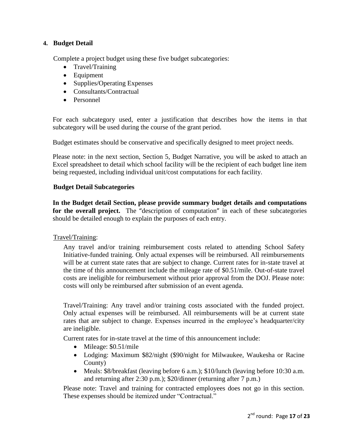#### <span id="page-16-0"></span>**4. Budget Detail**

Complete a project budget using these five budget subcategories:

- Travel/Training
- Equipment
- Supplies/Operating Expenses
- Consultants/Contractual
- Personnel

For each subcategory used, enter a justification that describes how the items in that subcategory will be used during the course of the grant period.

Budget estimates should be conservative and specifically designed to meet project needs.

Please note: in the next section, Section 5, Budget Narrative, you will be asked to attach an Excel spreadsheet to detail which school facility will be the recipient of each budget line item being requested, including individual unit/cost computations for each facility.

#### **Budget Detail Subcategories**

**In the Budget detail Section, please provide summary budget details and computations for the overall project.** The "description of computation" in each of these subcategories should be detailed enough to explain the purposes of each entry.

Travel/Training:

Any travel and/or training reimbursement costs related to attending School Safety Initiative-funded training. Only actual expenses will be reimbursed. All reimbursements will be at current state rates that are subject to change. Current rates for in-state travel at the time of this announcement include the mileage rate of \$0.51/mile. Out-of-state travel costs are ineligible for reimbursement without prior approval from the DOJ. Please note: costs will only be reimbursed after submission of an event agenda.

Travel/Training: Any travel and/or training costs associated with the funded project. Only actual expenses will be reimbursed. All reimbursements will be at current state rates that are subject to change. Expenses incurred in the employee's headquarter/city are ineligible.

Current rates for in-state travel at the time of this announcement include:

- Mileage: \$0.51/mile
- Lodging: Maximum \$82/night (\$90/night for Milwaukee, Waukesha or Racine County)
- Meals: \$8/breakfast (leaving before 6 a.m.); \$10/lunch (leaving before 10:30 a.m. and returning after 2:30 p.m.); \$20/dinner (returning after 7 p.m.)

Please note: Travel and training for contracted employees does not go in this section. These expenses should be itemized under "Contractual."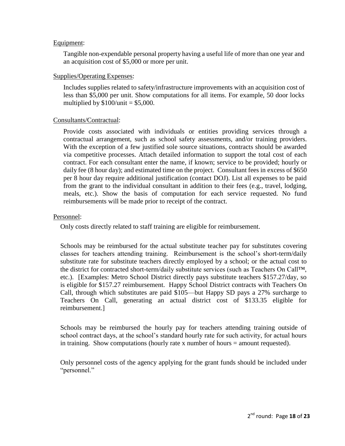#### Equipment:

Tangible non-expendable personal property having a useful life of more than one year and an acquisition cost of \$5,000 or more per unit.

#### Supplies/Operating Expenses:

Includes supplies related to safety/infrastructure improvements with an acquisition cost of less than \$5,000 per unit. Show computations for all items. For example, 50 door locks multiplied by  $$100/unit = $5,000$ .

#### Consultants/Contractual:

Provide costs associated with individuals or entities providing services through a contractual arrangement, such as school safety assessments, and/or training providers. With the exception of a few justified sole source situations, contracts should be awarded via competitive processes. Attach detailed information to support the total cost of each contract. For each consultant enter the name, if known; service to be provided; hourly or daily fee (8 hour day); and estimated time on the project. Consultant fees in excess of \$650 per 8 hour day require additional justification (contact DOJ). List all expenses to be paid from the grant to the individual consultant in addition to their fees (e.g., travel, lodging, meals, etc.). Show the basis of computation for each service requested. No fund reimbursements will be made prior to receipt of the contract.

#### Personnel:

Only costs directly related to staff training are eligible for reimbursement.

Schools may be reimbursed for the actual substitute teacher pay for substitutes covering classes for teachers attending training. Reimbursement is the school's short-term/daily substitute rate for substitute teachers directly employed by a school; or the actual cost to the district for contracted short-term/daily substitute services (such as Teachers On Call™, etc.). [Examples: Metro School District directly pays substitute teachers \$157.27/day, so is eligible for \$157.27 reimbursement. Happy School District contracts with Teachers On Call, through which substitutes are paid \$105—but Happy SD pays a 27% surcharge to Teachers On Call, generating an actual district cost of \$133.35 eligible for reimbursement.]

Schools may be reimbursed the hourly pay for teachers attending training outside of school contract days, at the school's standard hourly rate for such activity, for actual hours in training. Show computations (hourly rate x number of hours = amount requested).

Only personnel costs of the agency applying for the grant funds should be included under "personnel."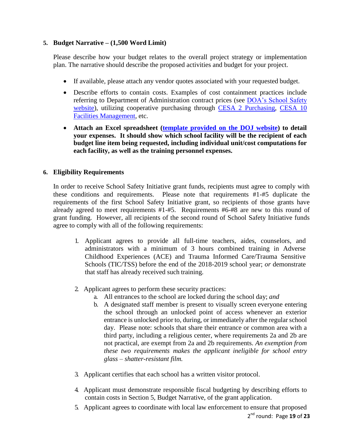## <span id="page-18-0"></span>**5. Budget Narrative – (1,500 Word Limit)**

Please describe how your budget relates to the overall project strategy or implementation plan. The narrative should describe the proposed activities and budget for your project.

- If available, please attach any vendor quotes associated with your requested budget.
- Describe efforts to contain costs. Examples of cost containment practices include referring to Department of Administration contract prices (see [DOA's School Safety](https://doa.wi.gov/Pages/DoingBusiness/SchoolSafety-Contracts.aspx)  [website\)](https://doa.wi.gov/Pages/DoingBusiness/SchoolSafety-Contracts.aspx), utilizing cooperative purchasing through [CESA 2 Purchasing,](http://www.cesapurchasing.org/) CESA 10 [Facilities Management,](http://facilities.cesa10.org/) etc.
- **Attach an Excel spreadsheet (template [provided on the DOJ website\)](https://www.doj.state.wi.us/sites/default/files/school-safety/Budget_Spreadsheet_Template.xlsx) to detail your expenses. It should show which school facility will be the recipient of each budget line item being requested, including individual unit/cost computations for each facility, as well as the training personnel expenses.**

#### <span id="page-18-1"></span>**6. Eligibility Requirements**

In order to receive School Safety Initiative grant funds, recipients must agree to comply with these conditions and requirements. Please note that requirements #1-#5 duplicate the requirements of the first School Safety Initiative grant, so recipients of those grants have already agreed to meet requirements #1-#5. Requirements #6-#8 are new to this round of grant funding. However, all recipients of the second round of School Safety Initiative funds agree to comply with all of the following requirements:

- 1. Applicant agrees to provide all full-time teachers, aides, counselors, and administrators with a minimum of 3 hours combined training in Adverse Childhood Experiences (ACE) and Trauma Informed Care/Trauma Sensitive Schools (TIC/TSS) before the end of the 2018-2019 school year; *or* demonstrate that staff has already received such training.
- 2. Applicant agrees to perform these security practices:
	- a. All entrances to the school are locked during the school day; *and*
	- b. A designated staff member is present to visually screen everyone entering the school through an unlocked point of access whenever an exterior entrance is unlocked prior to, during, or immediately after the regular school day. Please note: schools that share their entrance or common area with a third party, including a religious center, where requirements 2a and 2b are not practical, are exempt from 2a and 2b requirements. *An exemption from these two requirements makes the applicant ineligible for school entry glass – shatter-resistant film.*
- 3. Applicant certifies that each school has a written visitor protocol.
- 4. Applicant must demonstrate responsible fiscal budgeting by describing efforts to contain costs in Section 5, Budget Narrative, of the grant application.
- 2 nd round: Page **19** of **23** 5. Applicant agrees to coordinate with local law enforcement to ensure that proposed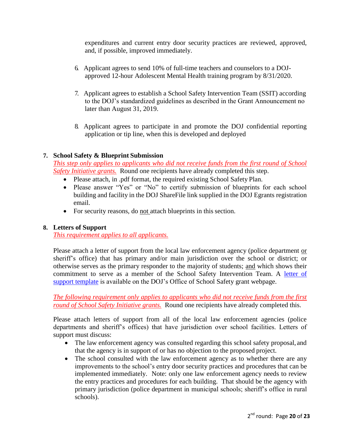expenditures and current entry door security practices are reviewed, approved, and, if possible, improved immediately.

- 6. Applicant agrees to send 10% of full-time teachers and counselors to a DOJapproved 12-hour Adolescent Mental Health training program by 8/31/2020.
- 7. Applicant agrees to establish a School Safety Intervention Team (SSIT) according to the DOJ's standardized guidelines as described in the Grant Announcement no later than August 31, 2019.
- 8. Applicant agrees to participate in and promote the DOJ confidential reporting application or tip line, when this is developed and deployed

## <span id="page-19-0"></span>**7. School Safety & Blueprint Submission**

*This step only applies to applicants who did not receive funds from the first round of School Safety Initiative grants.* Round one recipients have already completed this step.

- Please attach, in .pdf format, the required existing School Safety Plan.
- Please answer "Yes" or "No" to certify submission of blueprints for each school building and facility in the DOJ ShareFile link supplied in the DOJ Egrants registration email.
- For security reasons, do not attach blueprints in this section.

## <span id="page-19-1"></span>**8. Letters of Support**

*This requirement applies to all applicants.*

Please attach a letter of support from the local law enforcement agency (police department or sheriff's office) that has primary and/or main jurisdiction over the school or district; or otherwise serves as the primary responder to the majority of students; and which shows their commitment to serve as a member of the School Safety Intervention Team. A [letter of](file://apps01/sites/default/files/school-safety/LE_support_template.docx)  [support template](file://apps01/sites/default/files/school-safety/LE_support_template.docx) is available on the DOJ's Office of School Safety grant webpage.

*The following requirement only applies to applicants who did not receive funds from the first round of School Safety Initiative grants.* Round one recipients have already completed this.

Please attach letters of support from all of the local law enforcement agencies (police departments and sheriff's offices) that have jurisdiction over school facilities. Letters of support must discuss:

- The law enforcement agency was consulted regarding this school safety proposal, and that the agency is in support of or has no objection to the proposed project.
- The school consulted with the law enforcement agency as to whether there are any improvements to the school's entry door security practices and procedures that can be implemented immediately. Note: only one law enforcement agency needs to review the entry practices and procedures for each building. That should be the agency with primary jurisdiction (police department in municipal schools; sheriff's office in rural schools).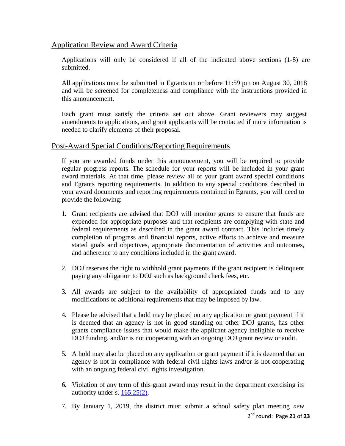## <span id="page-20-0"></span>Application Review and Award Criteria

Applications will only be considered if all of the indicated above sections (1-8) are submitted.

All applications must be submitted in Egrants on or before 11:59 pm on August 30, 2018 and will be screened for completeness and compliance with the instructions provided in this announcement.

Each grant must satisfy the criteria set out above. Grant reviewers may suggest amendments to applications, and grant applicants will be contacted if more information is needed to clarify elements of their proposal.

## <span id="page-20-1"></span>Post-Award Special Conditions/Reporting Requirements

If you are awarded funds under this announcement, you will be required to provide regular progress reports. The schedule for your reports will be included in your grant award materials. At that time, please review all of your grant award special conditions and Egrants reporting requirements. In addition to any special conditions described in your award documents and reporting requirements contained in Egrants, you will need to provide the following:

- 1. Grant recipients are advised that DOJ will monitor grants to ensure that funds are expended for appropriate purposes and that recipients are complying with state and federal requirements as described in the grant award contract. This includes timely completion of progress and financial reports, active efforts to achieve and measure stated goals and objectives, appropriate documentation of activities and outcomes, and adherence to any conditions included in the grant award.
- 2. DOJ reserves the right to withhold grant payments if the grant recipient is delinquent paying any obligation to DOJ such as background check fees, etc.
- 3. All awards are subject to the availability of appropriated funds and to any modifications or additional requirements that may be imposed by law.
- 4. Please be advised that a hold may be placed on any application or grant payment if it is deemed that an agency is not in good standing on other DOJ grants, has other grants compliance issues that would make the applicant agency ineligible to receive DOJ funding, and/or is not cooperating with an ongoing DOJ grant review or audit.
- 5. A hold may also be placed on any application or grant payment if it is deemed that an agency is not in compliance with federal civil rights laws and/or is not cooperating with an ongoing federal civil rights investigation.
- 6. Violation of any term of this grant award may result in the department exercising its authority under s. [165.25\(2\).](https://docs.legis.wisconsin.gov/document/statutes/165.25(2))
- 2 nd round: Page **21** of **23** 7. By January 1, 2019, the district must submit a school safety plan meeting *new*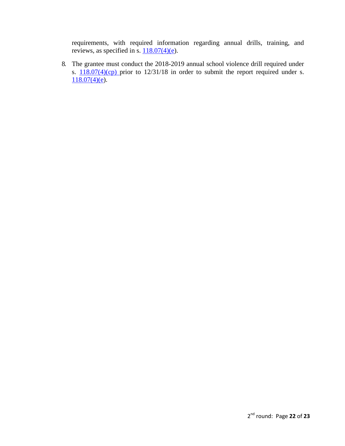requirements, with required information regarding annual drills, training, and reviews, as specified in s.  $118.07(4)(e)$ .

8. The grantee must conduct the 2018-2019 annual school violence drill required under s.  $\frac{118.07(4)(cp)}{25}$  $\frac{118.07(4)(cp)}{25}$  $\frac{118.07(4)(cp)}{25}$  prior to  $12/31/18$  in order to submit the report required under s.  $118.07(4)(e)$ .